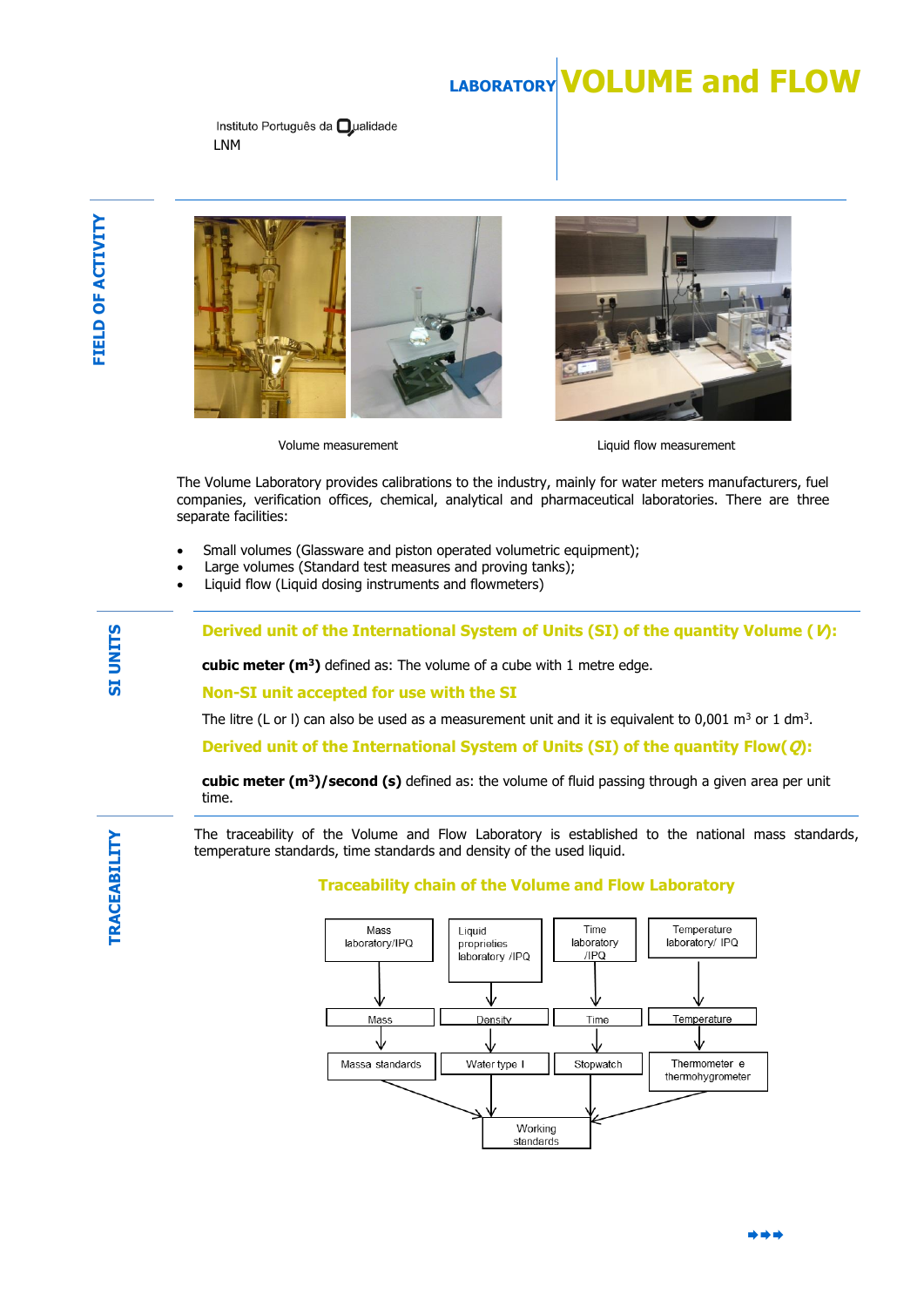# **LABORATORYVOLUME and FLOW**

Instituto Português da **O**ualidade LNM





Volume measurement volume measurement

The Volume Laboratory provides calibrations to the industry, mainly for water meters manufacturers, fuel companies, verification offices, chemical, analytical and pharmaceutical laboratories. There are three separate facilities:

- Small volumes (Glassware and piston operated volumetric equipment);
- Large volumes (Standard test measures and proving tanks);
- Liquid flow (Liquid dosing instruments and flowmeters)

**Derived unit of the International System of Units (SI) of the quantity Volume (V):** 

**cubic meter (m<sup>3</sup>)** defined as: The volume of a cube with 1 metre edge.

**Non-SI unit accepted for use with the SI**

The litre (L or I) can also be used as a measurement unit and it is equivalent to 0,001 m<sup>3</sup> or 1 dm<sup>3</sup>.

**Derived unit of the International System of Units (SI) of the quantity Flow(Q):** 

**cubic meter (m<sup>3</sup>)/second (s)** defined as: the volume of fluid passing through a given area per unit time.

The traceability of the Volume and Flow Laboratory is established to the national mass standards, temperature standards, time standards and density of the used liquid.

### **Traceability chain of the Volume and Flow Laboratory**



**SI UNITS**

\*\*\*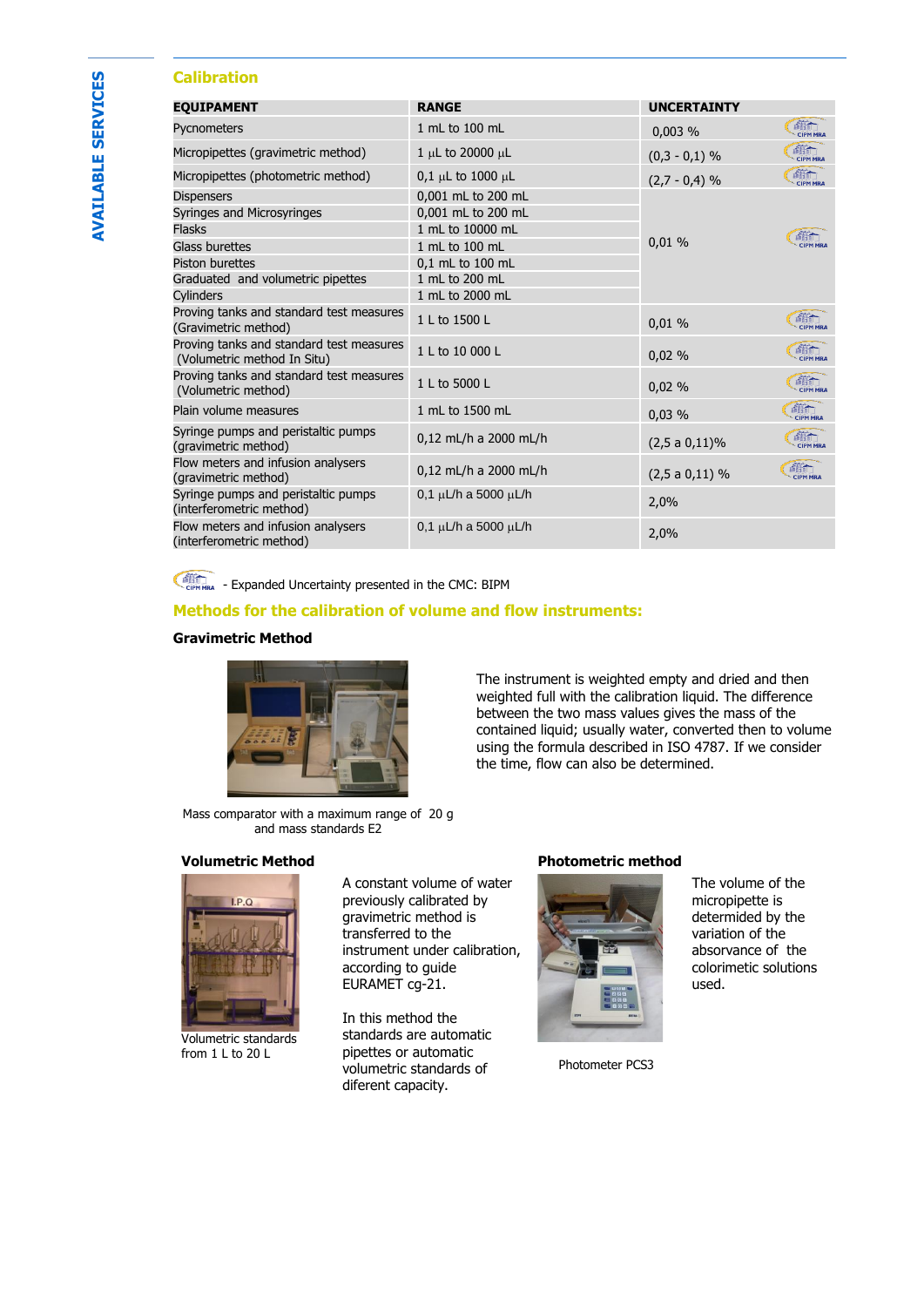# **Calibration**

| <b>EOUIPAMENT</b>                                                       | <b>RANGE</b>                   | <b>UNCERTAINTY</b> |                        |
|-------------------------------------------------------------------------|--------------------------------|--------------------|------------------------|
| Pycnometers                                                             | 1 mL to 100 mL                 | 0,003%             | 疏<br><b>CIPM MRA</b>   |
| Micropipettes (gravimetric method)                                      | 1 µL to 20000 µL               | $(0,3 - 0,1)$ %    | 商品<br><b>CIPM MRA</b>  |
| Micropipettes (photometric method)                                      | $0,1 \mu L$ to 1000 $\mu L$    | $(2,7 - 0,4)$ %    | 商行<br><b>CIPM MRA</b>  |
| <b>Dispensers</b>                                                       | 0,001 mL to 200 mL             | 0,01%              |                        |
| Syringes and Microsyringes                                              | 0,001 mL to 200 mL             |                    | 酶                      |
| <b>Flasks</b>                                                           | 1 mL to 10000 mL               |                    |                        |
| Glass burettes                                                          | 1 mL to 100 mL                 |                    |                        |
| <b>Piston burettes</b>                                                  | 0,1 mL to 100 mL               |                    |                        |
| Graduated and volumetric pipettes                                       | 1 mL to 200 mL                 |                    |                        |
| Cylinders                                                               | 1 mL to 2000 mL                |                    |                        |
| Proving tanks and standard test measures<br>(Gravimetric method)        | 1 L to 1500 L                  | 0.01%              | dist<br><b>CIPM MR</b> |
| Proving tanks and standard test measures<br>(Volumetric method In Situ) | 1 L to 10 000 L                | 0,02%              | 縮工<br><b>CIPM MRA</b>  |
| Proving tanks and standard test measures<br>(Volumetric method)         | 1 L to 5000 L                  | 0,02%              | 縮<br><b>CIPM MRA</b>   |
| Plain volume measures                                                   | 1 mL to 1500 mL                | 0,03%              | CIPM MRA               |
| Syringe pumps and peristaltic pumps<br>(gravimetric method)             | 0,12 mL/h a 2000 mL/h          | $(2,5a0,11)\%$     | 临<br><b>CIPM MRA</b>   |
| Flow meters and infusion analysers<br>(gravimetric method)              | 0,12 mL/h a 2000 mL/h          | $(2,5a0,11)$ %     | 縮广<br><b>CIPM MRA</b>  |
| Syringe pumps and peristaltic pumps<br>(interferometric method)         | $0,1 \mu L/h$ a 5000 $\mu L/h$ | 2,0%               |                        |
| Flow meters and infusion analysers<br>(interferometric method)          | $0,1 \mu L/h$ a 5000 $\mu L/h$ | 2,0%               |                        |

**CONCERTAINT AND A EXpanded Uncertainty presented in the CMC: BIPM** 

## **Methods for the calibration of volume and flow instruments:**

#### **Gravimetric Method**



The instrument is weighted empty and dried and then weighted full with the calibration liquid. The difference between the two mass values gives the mass of the contained liquid; usually water, converted then to volume using the formula described in ISO 4787. If we consider the time, flow can also be determined.

Mass comparator with a maximum range of 20 g and mass standards E2



Volumetric standards from 1 L to 20 L

A constant volume of water previously calibrated by gravimetric method is transferred to the instrument under calibration, according to guide EURAMET cg-21.

In this method the standards are automatic pipettes or automatic volumetric standards of diferent capacity.

#### **Volumetric Method Photometric method**



Photometer PCS3

The volume of the micropipette is determided by the variation of the absorvance of the colorimetic solutions used.